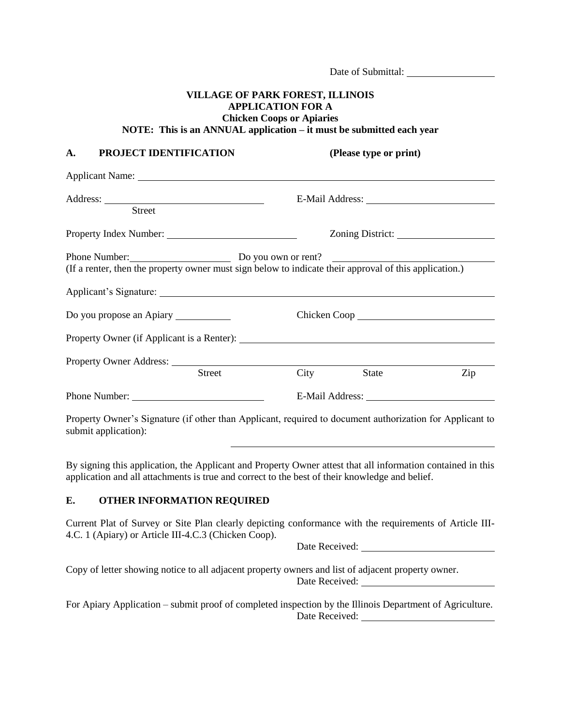|                                                                                                                                             | Date of Submittal:                                           |                        |     |  |
|---------------------------------------------------------------------------------------------------------------------------------------------|--------------------------------------------------------------|------------------------|-----|--|
| <b>VILLAGE OF PARK FOREST, ILLINOIS</b><br>NOTE: This is an ANNUAL application - it must be submitted each year                             | <b>APPLICATION FOR A</b><br><b>Chicken Coops or Apiaries</b> |                        |     |  |
| PROJECT IDENTIFICATION<br>A.                                                                                                                |                                                              | (Please type or print) |     |  |
|                                                                                                                                             |                                                              |                        |     |  |
| <b>Street</b>                                                                                                                               |                                                              |                        |     |  |
|                                                                                                                                             |                                                              |                        |     |  |
| Phone Number: Do you own or rent?<br>(If a renter, then the property owner must sign below to indicate their approval of this application.) |                                                              |                        |     |  |
|                                                                                                                                             |                                                              |                        |     |  |
|                                                                                                                                             |                                                              |                        |     |  |
| <b>Street</b>                                                                                                                               | City                                                         | <b>State</b>           | Zip |  |
|                                                                                                                                             |                                                              |                        |     |  |
| Property Owner's Signature (if other than Applicant, required to document authorization for Applicant to<br>submit application):            |                                                              |                        |     |  |

By signing this application, the Applicant and Property Owner attest that all information contained in this application and all attachments is true and correct to the best of their knowledge and belief.

## **E. OTHER INFORMATION REQUIRED**

Current Plat of Survey or Site Plan clearly depicting conformance with the requirements of Article III-4.C. 1 (Apiary) or Article III-4.C.3 (Chicken Coop).

Date Received: University of the Received:

Copy of letter showing notice to all adjacent property owners and list of adjacent property owner. Date Received:

For Apiary Application – submit proof of completed inspection by the Illinois Department of Agriculture. Date Received: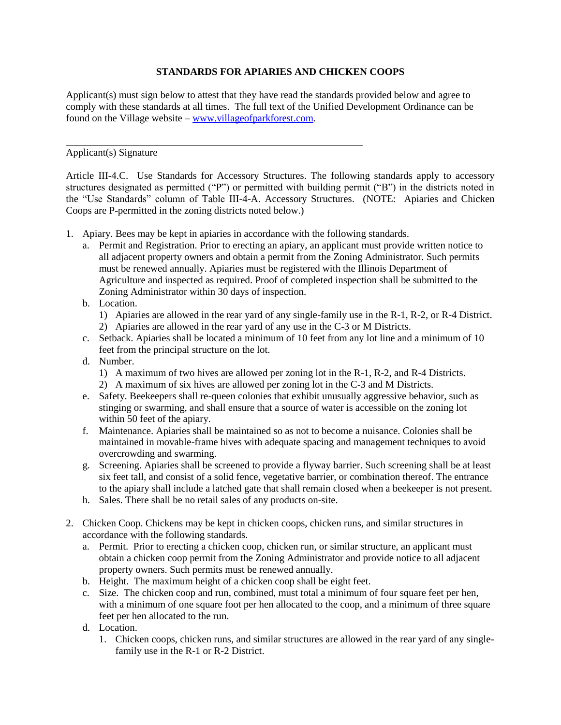## **STANDARDS FOR APIARIES AND CHICKEN COOPS**

Applicant(s) must sign below to attest that they have read the standards provided below and agree to comply with these standards at all times. The full text of the Unified Development Ordinance can be found on the Village website – [www.villageofparkforest.com.](http://www.villageofparkforest.com/)

Applicant(s) Signature

Article III-4.C. Use Standards for Accessory Structures. The following standards apply to accessory structures designated as permitted ("P") or permitted with building permit ("B") in the districts noted in the "Use Standards" column of Table III-4-A. Accessory Structures. (NOTE: Apiaries and Chicken Coops are P-permitted in the zoning districts noted below.)

- 1. Apiary. Bees may be kept in apiaries in accordance with the following standards.
	- a. Permit and Registration. Prior to erecting an apiary, an applicant must provide written notice to all adjacent property owners and obtain a permit from the Zoning Administrator. Such permits must be renewed annually. Apiaries must be registered with the Illinois Department of Agriculture and inspected as required. Proof of completed inspection shall be submitted to the Zoning Administrator within 30 days of inspection.
	- b. Location.
		- 1) Apiaries are allowed in the rear yard of any single-family use in the R-1, R-2, or R-4 District.
		- 2) Apiaries are allowed in the rear yard of any use in the C-3 or M Districts.
	- c. Setback. Apiaries shall be located a minimum of 10 feet from any lot line and a minimum of 10 feet from the principal structure on the lot.
	- d. Number.
		- 1) A maximum of two hives are allowed per zoning lot in the R-1, R-2, and R-4 Districts.
		- 2) A maximum of six hives are allowed per zoning lot in the C-3 and M Districts.
	- e. Safety. Beekeepers shall re-queen colonies that exhibit unusually aggressive behavior, such as stinging or swarming, and shall ensure that a source of water is accessible on the zoning lot within 50 feet of the apiary.
	- f. Maintenance. Apiaries shall be maintained so as not to become a nuisance. Colonies shall be maintained in movable-frame hives with adequate spacing and management techniques to avoid overcrowding and swarming.
	- g. Screening. Apiaries shall be screened to provide a flyway barrier. Such screening shall be at least six feet tall, and consist of a solid fence, vegetative barrier, or combination thereof. The entrance to the apiary shall include a latched gate that shall remain closed when a beekeeper is not present.
	- h. Sales. There shall be no retail sales of any products on-site.
- 2. Chicken Coop. Chickens may be kept in chicken coops, chicken runs, and similar structures in accordance with the following standards.
	- a. Permit. Prior to erecting a chicken coop, chicken run, or similar structure, an applicant must obtain a chicken coop permit from the Zoning Administrator and provide notice to all adjacent property owners. Such permits must be renewed annually.
	- b. Height. The maximum height of a chicken coop shall be eight feet.
	- c. Size. The chicken coop and run, combined, must total a minimum of four square feet per hen, with a minimum of one square foot per hen allocated to the coop, and a minimum of three square feet per hen allocated to the run.
	- d. Location.
		- 1. Chicken coops, chicken runs, and similar structures are allowed in the rear yard of any singlefamily use in the R-1 or R-2 District.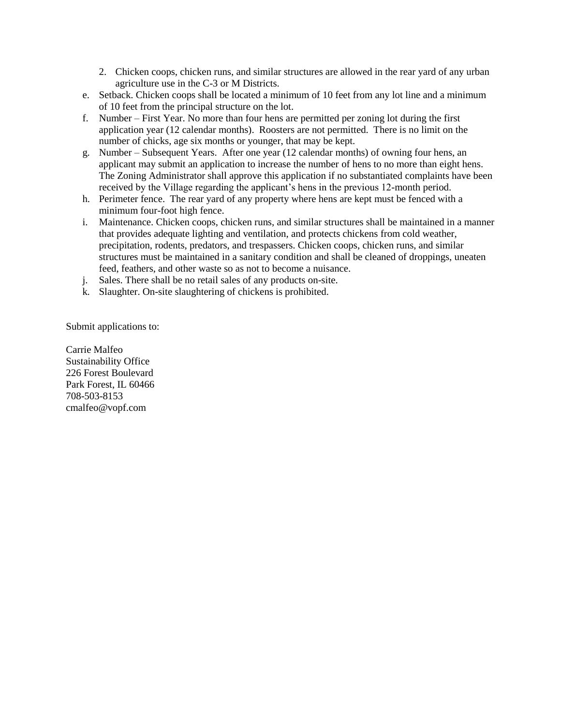- 2. Chicken coops, chicken runs, and similar structures are allowed in the rear yard of any urban agriculture use in the C-3 or M Districts.
- e. Setback. Chicken coops shall be located a minimum of 10 feet from any lot line and a minimum of 10 feet from the principal structure on the lot.
- f. Number First Year. No more than four hens are permitted per zoning lot during the first application year (12 calendar months). Roosters are not permitted. There is no limit on the number of chicks, age six months or younger, that may be kept.
- g. Number Subsequent Years. After one year (12 calendar months) of owning four hens, an applicant may submit an application to increase the number of hens to no more than eight hens. The Zoning Administrator shall approve this application if no substantiated complaints have been received by the Village regarding the applicant's hens in the previous 12-month period.
- h. Perimeter fence. The rear yard of any property where hens are kept must be fenced with a minimum four-foot high fence.
- i. Maintenance. Chicken coops, chicken runs, and similar structures shall be maintained in a manner that provides adequate lighting and ventilation, and protects chickens from cold weather, precipitation, rodents, predators, and trespassers. Chicken coops, chicken runs, and similar structures must be maintained in a sanitary condition and shall be cleaned of droppings, uneaten feed, feathers, and other waste so as not to become a nuisance.
- j. Sales. There shall be no retail sales of any products on-site.
- k. Slaughter. On-site slaughtering of chickens is prohibited.

Submit applications to:

Carrie Malfeo Sustainability Office 226 Forest Boulevard Park Forest, IL 60466 708-503-8153 cmalfeo@vopf.com